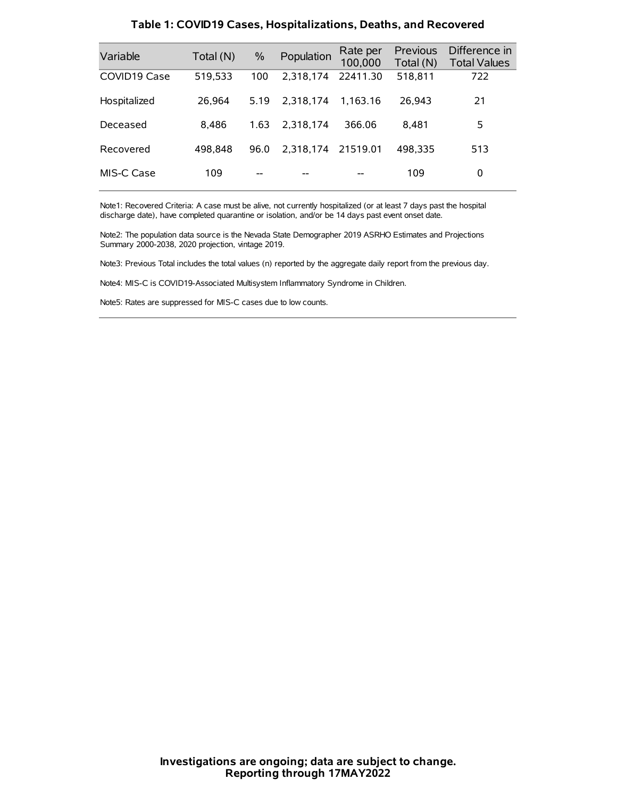| Variable     | Total (N) | $\frac{0}{0}$ | Population | Rate per<br>100,000 | <b>Previous</b><br>Total (N) | Difference in<br><b>Total Values</b> |
|--------------|-----------|---------------|------------|---------------------|------------------------------|--------------------------------------|
| COVID19 Case | 519,533   | 100           | 2.318.174  | 22411.30            | 518,811                      | 722                                  |
| Hospitalized | 26.964    | 5.19          | 2.318.174  | 1.163.16            | 26.943                       | 21                                   |
| Deceased     | 8.486     | 1.63          | 2.318.174  | 366.06              | 8.481                        | 5                                    |
| Recovered    | 498.848   | 96.0          | 2.318.174  | 21519.01            | 498.335                      | 513                                  |
| MIS-C Case   | 109       | --            |            |                     | 109                          | 0                                    |

#### **Table 1: COVID19 Cases, Hospitalizations, Deaths, and Recovered**

Note1: Recovered Criteria: A case must be alive, not currently hospitalized (or at least 7 days past the hospital discharge date), have completed quarantine or isolation, and/or be 14 days past event onset date.

Note2: The population data source is the Nevada State Demographer 2019 ASRHO Estimates and Projections Summary 2000-2038, 2020 projection, vintage 2019.

Note3: Previous Total includes the total values (n) reported by the aggregate daily report from the previous day.

Note4: MIS-C is COVID19-Associated Multisystem Inflammatory Syndrome in Children.

Note5: Rates are suppressed for MIS-C cases due to low counts.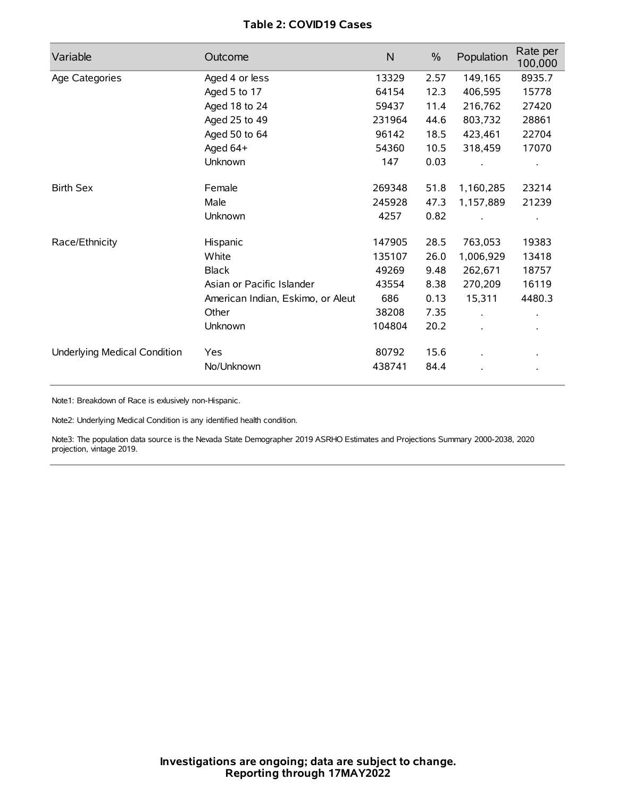# **Table 2: COVID19 Cases**

| Variable                     | Outcome                           | $\mathsf{N}$ | $\%$ | Population | Rate per<br>100,000  |
|------------------------------|-----------------------------------|--------------|------|------------|----------------------|
| Age Categories               | Aged 4 or less                    | 13329        | 2.57 | 149,165    | 8935.7               |
|                              | Aged 5 to 17                      | 64154        | 12.3 | 406,595    | 15778                |
|                              | Aged 18 to 24                     | 59437        | 11.4 | 216,762    | 27420                |
|                              | Aged 25 to 49                     | 231964       | 44.6 | 803,732    | 28861                |
|                              | Aged 50 to 64                     | 96142        | 18.5 | 423,461    | 22704                |
|                              | Aged $64+$                        | 54360        | 10.5 | 318,459    | 17070                |
|                              | Unknown                           | 147          | 0.03 |            |                      |
| <b>Birth Sex</b>             | Female                            | 269348       | 51.8 | 1,160,285  | 23214                |
|                              | Male                              | 245928       | 47.3 | 1,157,889  | 21239                |
|                              | Unknown                           | 4257         | 0.82 |            |                      |
| Race/Ethnicity               | Hispanic                          | 147905       | 28.5 | 763,053    | 19383                |
|                              | White                             | 135107       | 26.0 | 1,006,929  | 13418                |
|                              | <b>Black</b>                      | 49269        | 9.48 | 262,671    | 18757                |
|                              | Asian or Pacific Islander         | 43554        | 8.38 | 270,209    | 16119                |
|                              | American Indian, Eskimo, or Aleut | 686          | 0.13 | 15,311     | 4480.3               |
|                              | Other                             | 38208        | 7.35 |            | $\ddot{\phantom{0}}$ |
|                              | Unknown                           | 104804       | 20.2 |            |                      |
| Underlying Medical Condition | Yes                               | 80792        | 15.6 |            |                      |
|                              | No/Unknown                        | 438741       | 84.4 |            |                      |

Note1: Breakdown of Race is exlusively non-Hispanic.

Note2: Underlying Medical Condition is any identified health condition.

Note3: The population data source is the Nevada State Demographer 2019 ASRHO Estimates and Projections Summary 2000-2038, 2020 projection, vintage 2019.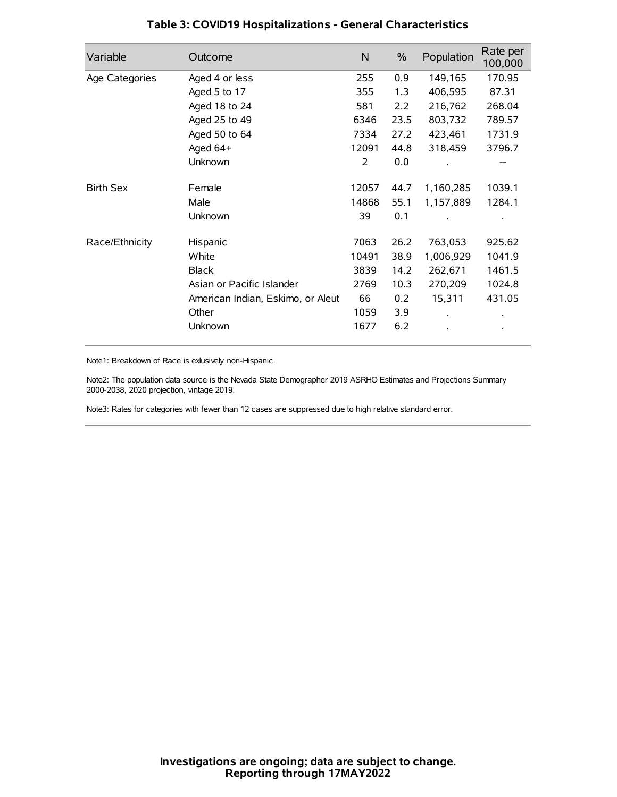| Variable         | Outcome                           | $\mathsf{N}$ | $\%$ | Population | Rate per<br>100,000 |
|------------------|-----------------------------------|--------------|------|------------|---------------------|
| Age Categories   | Aged 4 or less                    | 255          | 0.9  | 149,165    | 170.95              |
|                  | Aged 5 to 17                      | 355          | 1.3  | 406,595    | 87.31               |
|                  | Aged 18 to 24                     | 581          | 2.2  | 216,762    | 268.04              |
|                  | Aged 25 to 49                     | 6346         | 23.5 | 803,732    | 789.57              |
|                  | Aged 50 to 64                     | 7334         | 27.2 | 423,461    | 1731.9              |
|                  | Aged 64+                          | 12091        | 44.8 | 318,459    | 3796.7              |
|                  | Unknown                           | 2            | 0.0  |            |                     |
| <b>Birth Sex</b> | Female                            | 12057        | 44.7 | 1,160,285  | 1039.1              |
|                  | Male                              | 14868        | 55.1 | 1,157,889  | 1284.1              |
|                  | Unknown                           | 39           | 0.1  |            |                     |
| Race/Ethnicity   | Hispanic                          | 7063         | 26.2 | 763,053    | 925.62              |
|                  | White                             | 10491        | 38.9 | 1,006,929  | 1041.9              |
|                  | <b>Black</b>                      | 3839         | 14.2 | 262,671    | 1461.5              |
|                  | Asian or Pacific Islander         | 2769         | 10.3 | 270,209    | 1024.8              |
|                  | American Indian, Eskimo, or Aleut | 66           | 0.2  | 15,311     | 431.05              |
|                  | Other                             | 1059         | 3.9  |            |                     |
|                  | Unknown                           | 1677         | 6.2  |            |                     |

# **Table 3: COVID19 Hospitalizations - General Characteristics**

Note1: Breakdown of Race is exlusively non-Hispanic.

Note2: The population data source is the Nevada State Demographer 2019 ASRHO Estimates and Projections Summary 2000-2038, 2020 projection, vintage 2019.

Note3: Rates for categories with fewer than 12 cases are suppressed due to high relative standard error.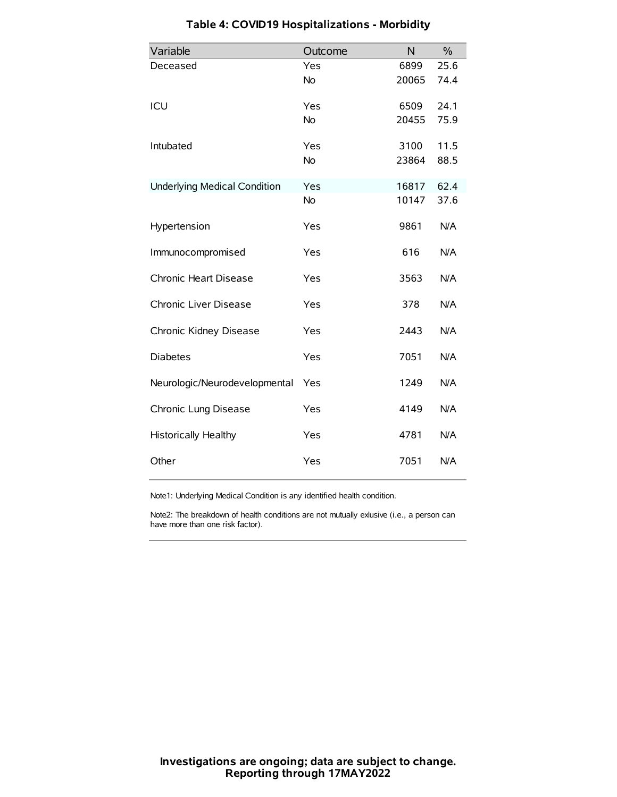| Variable                            | Outcome   | N     | $\frac{0}{0}$ |
|-------------------------------------|-----------|-------|---------------|
| Deceased                            | Yes       | 6899  | 25.6          |
|                                     | No        | 20065 | 74.4          |
| ICU                                 | Yes       | 6509  | 24.1          |
|                                     | <b>No</b> | 20455 | 75.9          |
| Intubated                           | Yes       | 3100  | 11.5          |
|                                     | No        | 23864 | 88.5          |
| <b>Underlying Medical Condition</b> | Yes       | 16817 | 62.4          |
|                                     | No        | 10147 | 37.6          |
| Hypertension                        | Yes       | 9861  | N/A           |
| Immunocompromised                   | Yes       | 616   | N/A           |
| Chronic Heart Disease               | Yes       | 3563  | N/A           |
| Chronic Liver Disease               | Yes       | 378   | N/A           |
| Chronic Kidney Disease              | Yes       | 2443  | N/A           |
| <b>Diabetes</b>                     | Yes       | 7051  | N/A           |
| Neurologic/Neurodevelopmental       | Yes       | 1249  | N/A           |
| Chronic Lung Disease                | Yes       | 4149  | N/A           |
| <b>Historically Healthy</b>         | Yes       | 4781  | N/A           |
| Other                               | Yes       | 7051  | N/A           |

# **Table 4: COVID19 Hospitalizations - Morbidity**

Note1: Underlying Medical Condition is any identified health condition.

Note2: The breakdown of health conditions are not mutually exlusive (i.e., a person can have more than one risk factor).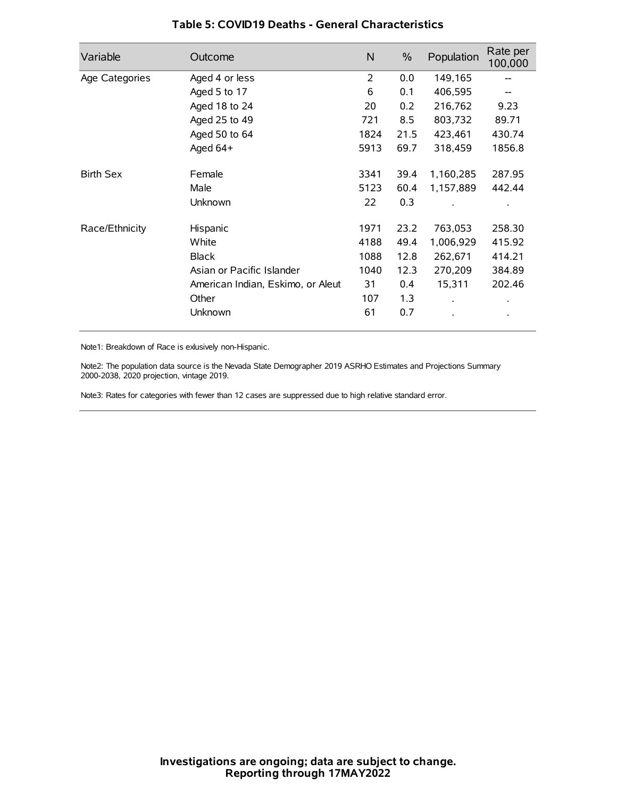| Variable         | Outcome                           | N              | $\%$ | Population           | Rate per<br>100,000 |
|------------------|-----------------------------------|----------------|------|----------------------|---------------------|
| Age Categories   | Aged 4 or less                    | $\overline{2}$ | 0.0  | 149,165              |                     |
|                  | Aged 5 to 17                      | 6              | 0.1  | 406,595              |                     |
|                  | Aged 18 to 24                     | 20             | 0.2  | 216,762              | 9.23                |
|                  | Aged 25 to 49                     | 721            | 8.5  | 803,732              | 89.71               |
|                  | Aged 50 to 64                     | 1824           | 21.5 | 423,461              | 430.74              |
|                  | Aged 64+                          | 5913           | 69.7 | 318,459              | 1856.8              |
| <b>Birth Sex</b> | Female                            | 3341           | 39.4 | 1,160,285            | 287.95              |
|                  | Male                              | 5123           | 60.4 | 1,157,889            | 442.44              |
|                  | Unknown                           | 22             | 0.3  |                      |                     |
| Race/Ethnicity   | Hispanic                          | 1971           | 23.2 | 763,053              | 258.30              |
|                  | White                             | 4188           | 49.4 | 1,006,929            | 415.92              |
|                  | <b>Black</b>                      | 1088           | 12.8 | 262,671              | 414.21              |
|                  | Asian or Pacific Islander         | 1040           | 12.3 | 270,209              | 384.89              |
|                  | American Indian, Eskimo, or Aleut | 31             | 0.4  | 15,311               | 202.46              |
|                  | Other                             | 107            | 1.3  | $\ddot{\phantom{0}}$ | $\bullet$           |
|                  | Unknown                           | 61             | 0.7  |                      | $\bullet$           |

## **Table 5: COVID19 Deaths - General Characteristics**

Note1: Breakdown of Race is exlusively non-Hispanic.

Note2: The population data source is the Nevada State Demographer 2019 ASRHO Estimates and Projections Summary 2000-2038, 2020 projection, vintage 2019.

Note3: Rates for categories with fewer than 12 cases are suppressed due to high relative standard error.